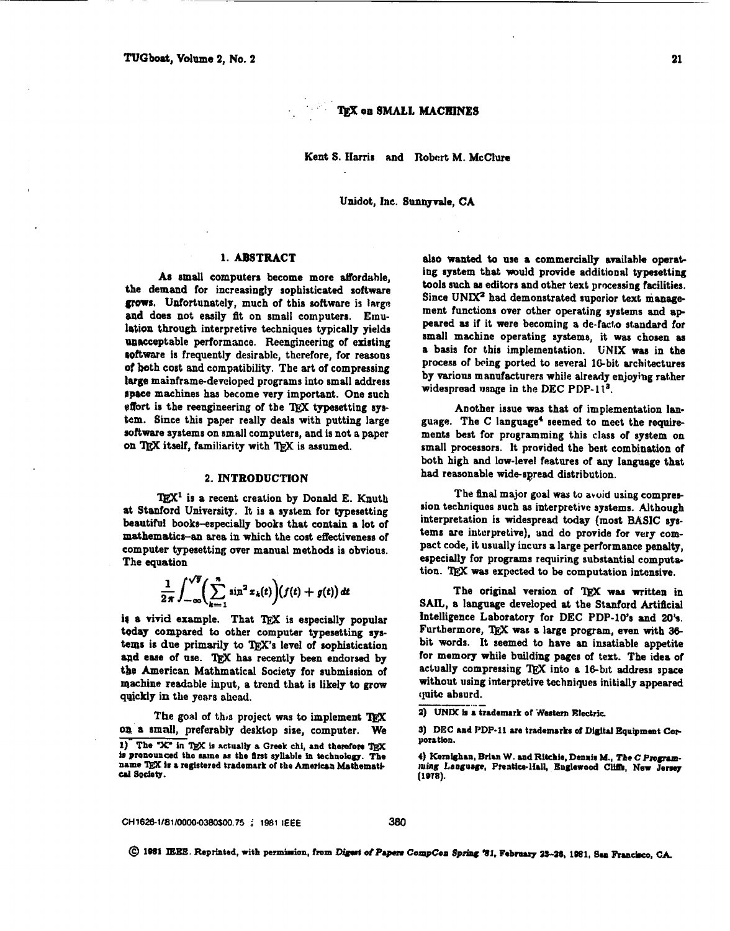TEX on SMALL MACHINES

Kent S. Harris and Robert M. McClure

Unidot, Inc. Sunnvvale, CA

### 1. ABSTRACT

As small computers become more affordable, the demand for increasingly sophisticated software grows. Unfortunately, much of this software is large and does not easily fit on small computers. Emulation through interpretive techniques typically yields unacceptable performance. Reengineering of existing software is frequently desirable, therefore, for reasons of both cost and compatibility. The art of compressing large mainframe-developed programs into small address space machines has become very important. One such effort is the reengineering of the TEX typesetting system. Since this paper really deals with putting large software systems on small computers, and is not a paper on TEX itself, familiarity with TFX is assumed.

## 2. INTRODUCTION

TEX<sup>1</sup> is a recent creation by Donald E. Knuth at Stanford University. It is a system for typesetting beautiful books-especially books that contain a lot of mathematics-an area in which the cost effectiveness of computer typesetting over manual methods is obvious. The equation

$$
\frac{1}{2\pi}\int_{-\infty}^{\sqrt{y}}\left(\sum_{k=1}^n\sin^2 x_k(t)\right)\!\left(f(t)+g(t)\right)dt
$$

is a vivid example. That TEX is especially popular today compared to other computer typesetting systems is due primarily to TEX's level of sophistication and ease of use. TFX has recently been endorsed by the American Mathmatical Society for submission of machine readable input, a trend that is likely to grow quickly in the years ahead.

The goal of this project was to implement TFX on a small, preferably desktop size, computer. We 1) The "X" in TrX is actually a Greek chi, and therefore TrX is prenounced the same as the first syllable in technology. The name TEX is a registered trademark of the American Mathematical Society.

also wanted to use a commercially available operating system that would provide additional typesetting tools such as editors and other text processing facilities. Since UNIX<sup>2</sup> had demonstrated superior text management functions over other operating systems and appeared as if it were becoming a de-facto standard for small machine operating systems, it was chosen as a basis for this implementation. UNIX was in the process of being ported to several 16-bit architectures by various manufacturers while already enjoying rather widespread usage in the DEC PDP-11<sup>3</sup>.

Another issue was that of implementation language. The C language<sup>4</sup> seemed to meet the requirements best for programming this class of system on small processors. It provided the best combination of both high and low-level features of any language that had reasonable wide-spread distribution.

The final major goal was to avoid using compression techniques such as interpretive systems. Although interpretation is widespread today (most BASIC systems are interpretive), and do provide for very compact code, it usually incurs a large performance penalty, especially for programs requiring substantial computation. TEX was expected to be computation intensive.

The original version of TFX was written in SAIL, a language developed at the Stanford Artificial Intelligence Laboratory for DEC PDP-10's and 20's. Furthermore, TEX was a large program, even with 36bit words. It seemed to have an insatiable appetite for memory while building pages of text. The idea of actually compressing TEX into a 16-bit address space without using interpretive techniques initially appeared quite absurd.

2) UNIX is a trademark of Western Electric.

3) DEC and PDP-11 are trademarks of Digital Equipment Cornoration.

4) Kernighan, Brian W. and Ritchie, Dennis M., The C Programming Language, Prentice-Hall, Englewood Cliffs, New Jersey  $(1978)$ 

CH1626-1/81/0000-0380\$00.75 / 1981 IEEE

© 1981 IEEE. Reprinted, with permission, from Digest of Papers CompCon Spring '31, February 23-26, 1981, San Francisco, CA.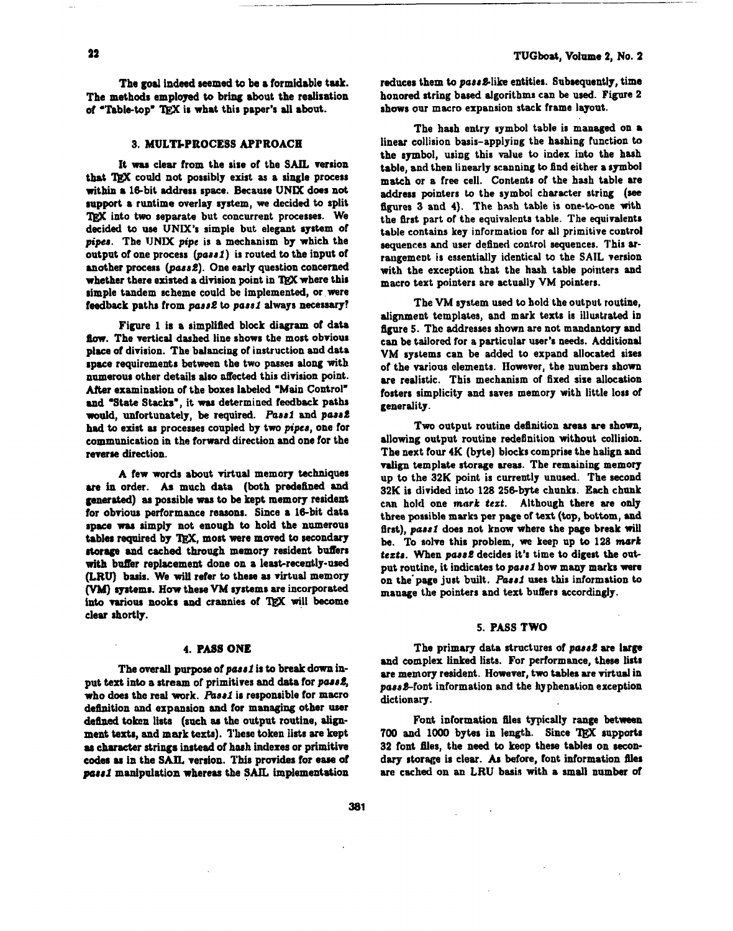The goal indeed seemed to be a formidable task. The methods employed **to** bring about the rediration of "Table-top" TEX is what this paper's all about.

# **3. MULTkPBOCE'SS APPROACH**

It **was** clear from the sire of the *SAIL* version that TEX could not possibly exist as a single process within a 16-bit address space. Because UNIX does not rupport a runtime overlay system, we decided **to** split TRX into two separate but concurrent processes. We decided **to use** UNIX's simple but elegant system of pipes. The UNIX pipe is a mechanism by which the output of one process (pasal) is routed **to** the input of another process (pass2). One early question concerned whether there existed a division point in TFX where this simple tandem scheme could be implemented, or were feedback paths from pass2 to pass1 always necessary?

Figure **1** is a simplified block diagram of data flow. The vertical dashed line shows the most obvious place of division. The balancing of instruction and data space requirements between the two passes along with numerous other details also affected this division point. After examination of the boxes labeled "Main Control" **and** 'State Stacks", it **waa** determined feedback path would, unfortunately, be required. Pass1 and pass2 had **to** exist aa processes coupled by two piper, one for communication in the forward direction and one for the reverse direction.

**A** few words about virtual memory techniques **ue** in order. As much data (both predehed **and**  generated) as possible was to be kept memory resident for obvious performance reasons. Since a 16-bit data apace **waa** simply not enough **to** hold the numerous tables required by TEX. most were moved to secondary storage and cached through memory resident buffers with buffer replacement done on a least-recently-used (LRU) basis. We will refer to these as virtual memory (VM) systems. How these VM systems are incorporated into various nooks and crannies of TEX will become clear shortly.

#### **4. PA89 ONE**

The overall purpose of pass1 is to break down input text into a stream of primitives and data for pass<sup>2</sup>, who does the real work. Pass1 is responsible for macro definition and expansion and for managing other user **defiped** token lists (such **as tho** output routine, align**ment testa,** and **mark** texts). l'kse token Iiats are kept as character strings instead of hash indexes or primitive codes **aa** in the *SAIL* verrion. This provides for eaw of porrl manipulation whereas **the SAIL** implementation

reduces them to pass 2-like entities. Subsequently, time honored string based algorithms can be used. Figure 2 shows our macro expansion stack frame layout.

The hash entry symbol table is managed on a linear collision basis-applying the hashing function to the symbol, using this value to index into the haah table, and then linearly scanning to find either a symbol match or a free cell. Contents of the hash table are address pointers to the symbol character string **(see**  figures 3 and 4). The hash table is one-to-one with the first part of the equivalents table. The equivalents table contains key information for all primitive control sequences and user defined control sequences. This arraugemeot is essentially identical to the **SAIL** version with the exception that the hash table pointers and macro text pointers are actually VM pointers.

The VM system used to hold the output routine, alignment templates, and mark texts is illuntrated in figure 5. The addresses shown are not mandantory and can be tailored for a particular user's needs. Additional VM systems can be added to expand allocated sizes of the various elements. However, the numbers shown are realistic. This mechanism of fixed size allocation fosters simplicity and saves memory with little loss of generality.

Two output routine definition areas are shown, allowing output routine redefinition without collision. The next four **4K** (byte) blocks comprise the halign and valign template storage areas. The remaining memory up to the **32K** point is currently unuaed. The second **32K** is divided into 128 256-byte chunks. Each chunk can hold one **mark** *tat.* Although there are only three possible **marks** per page of **text** (top, bottom, and first), pass1 does not **how** where the page break **will**  be. To solve this problem, **we** keep up to **128 mark**  tezts. When pass2 decides it's time to digest the output routine, it indicates to para1 bow many marks **were**  on the'page just built. Pass1 uses this information to manage the pointers and text buffers accordingly.

#### 5. PASS TWO

The primary data structures of pass2 are large and complex linked lists. For performance, these lists are memory resident. However, two tables are virtual in  $pass2$ -font information and the hyphenation exception dictionary.

Font information fles typically range between **700** and **1000** bytes in length. Since *lj3X* aupportr **32** font Bles, the need to keop these table8 on **secon**dary storage is clear. As before, font information files **arc** cached on an LRU basis with a small numbex **of**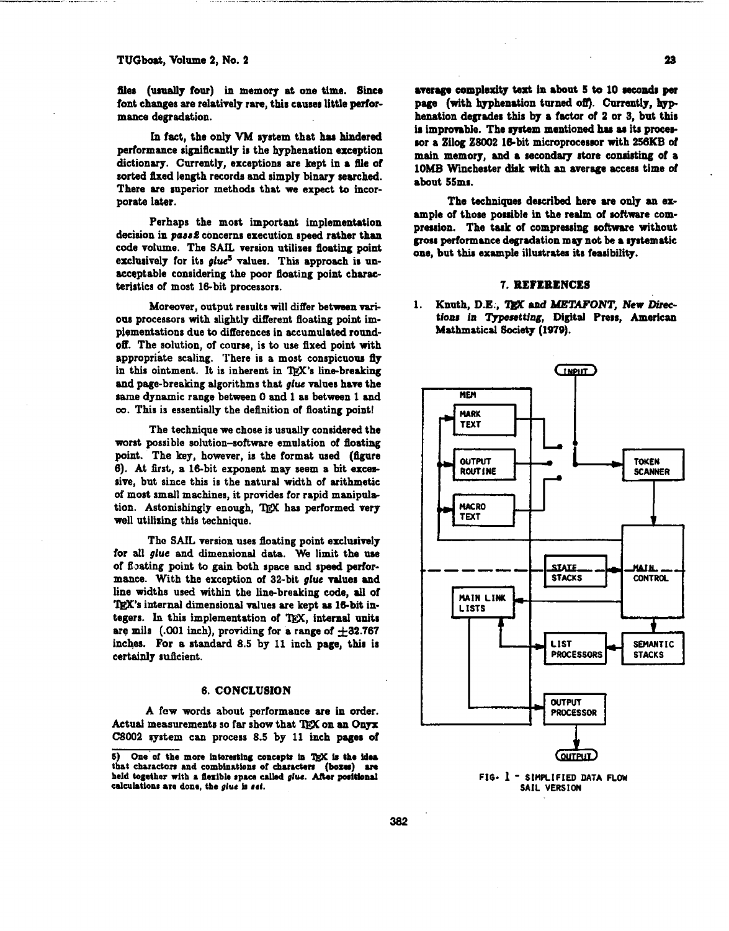files (usually four) in memory at one time. Since font changes are relatively rare, this causes little performance degradation.

In fact, the only VM system that has hindered performance eigniflcantly is the hyphenation exception dictionary. Currently, exceptions are kept in a file of sorted fixed length records and simply binary searched. There are superior methods that we expect to incorporate later.

Perhaps the most important implementation decision in *pass2* concerns execution speed rather than code votume. The SAIL version utiliaes floating point exclusively for its *glue<sup>5</sup>* values. This approach is unacceptable considering the poor floating point characteristics of most 16-bit processors.

Moreover, output results will differ between various processors with slightly different floating point implementations due to differences in accumulated round**off.** The solution, of course, is to use **fixed** point with appropriate scaling. There is a most conspicuous fly in this ointment. It is inherent in TEX's line-breaking and page-breaking algorithms that *glue* values have the sane dynamic range between 0 and 1 as between 1 and **ce.** This is essentially the dehition of floating point!

The technique **we** chose is ueually considered the worst possible solution-software emulation of floating point. The key, however, is the format used (figure 6). At first, a 16-bit exponent may seem a bit excessive, but since this is the natural width of arithmetic of most small machines, it provides for rapid manipdation. Astonishingly enough, TEX has performed very well utilizing this technique.

The **SAIL** version uses floating point exclusively for **all** glue and dimensional data. We limit the **use**  of floating point to gain both space and speed performance. With the exception of 32-bit *gluc* values and line widths used within the linebreaking code, **dl** of TEX's internal dimensional values are kept as 16-bit inine widths used within the line-breaking code, all of TgX's internal dimensional values are kept as 16-bit integers. In this implementation of TgX, internal units are mils (.001 inch), providing for a range of  $\pm 32.767$ inches. For a standard 8.5 by If inch page, this is certainly suficient.

# **6. CONCLUSION**

A few words about porformance are in order. Actual measurements so far show that TEX on an Onyx C8002 system can process 8.5 by 11 inch pager of 23

,

**8rsr.g.** complexity **tart** in 8bout 5 to **10 mcondn per**  page (with hyphenation **turned om. Currently, bpp**  henation degrades this by a factor of 2 or 3, but this is improvable. The system mentioned has as its procesror a Zilog **Z8002** Isbit microprocessor with **256KB** of main memory, and a secondary store consisting of a IOMB Winchester disk with **m** aversge access time of about 55ma.

The techniques described here are only an example of those possible in the realm of software compreasion. **The** task of compressing software without grorr performance degradation **may** not be **a** ayatematic one, but this example illustrates its feasibility.

### **7. BEFCBENCES**

1. Knuth. D.E., TEX and *METAFONT*. New Directions in **Typesetting**, Digital Press, American Mathmatical Society (1979).



**FIG\* 1** - **SIMPLIFIED DATA FLOW SAIL VERSION** 

<sup>5)</sup> One of the more intoresting concepts in TgX is the idea **that characten and combhations of ehurctan (bow) sm**  held **together** with a flexible space called glue. After positional **calcul.tlon: are done, the** *gluc* **ir eel.**